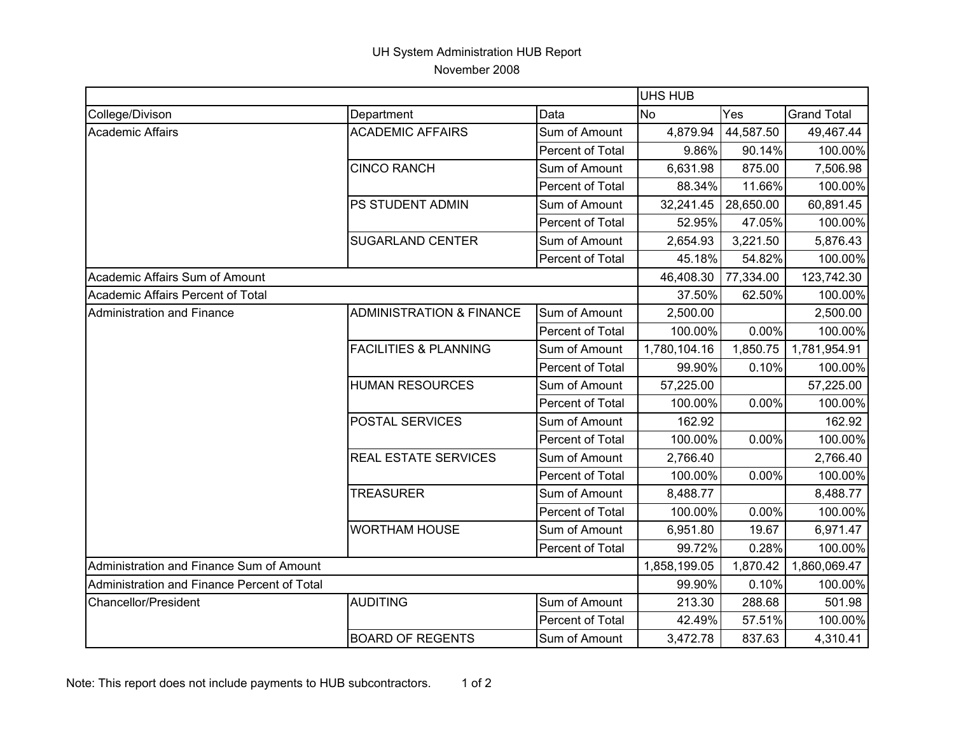## UH System Administration HUB Report November 2008

|                                             | UHS HUB                             |                         |              |           |                    |
|---------------------------------------------|-------------------------------------|-------------------------|--------------|-----------|--------------------|
| College/Divison                             | Department                          | Data                    | <b>No</b>    | Yes       | <b>Grand Total</b> |
| <b>Academic Affairs</b>                     | <b>ACADEMIC AFFAIRS</b>             | Sum of Amount           | 4,879.94     | 44,587.50 | 49,467.44          |
|                                             |                                     | Percent of Total        | 9.86%        | 90.14%    | 100.00%            |
|                                             | <b>CINCO RANCH</b>                  | Sum of Amount           | 6,631.98     | 875.00    | 7,506.98           |
|                                             |                                     | Percent of Total        | 88.34%       | 11.66%    | 100.00%            |
|                                             | <b>PS STUDENT ADMIN</b>             | Sum of Amount           | 32,241.45    | 28,650.00 | 60,891.45          |
|                                             |                                     | Percent of Total        | 52.95%       | 47.05%    | 100.00%            |
|                                             | <b>SUGARLAND CENTER</b>             | Sum of Amount           | 2,654.93     | 3,221.50  | 5,876.43           |
|                                             |                                     | Percent of Total        | 45.18%       | 54.82%    | 100.00%            |
| Academic Affairs Sum of Amount              |                                     |                         | 46,408.30    | 77,334.00 | 123,742.30         |
| Academic Affairs Percent of Total           |                                     |                         | 37.50%       | 62.50%    | 100.00%            |
| Administration and Finance                  | <b>ADMINISTRATION &amp; FINANCE</b> | Sum of Amount           | 2,500.00     |           | 2,500.00           |
|                                             |                                     | Percent of Total        | 100.00%      | 0.00%     | 100.00%            |
|                                             | <b>FACILITIES &amp; PLANNING</b>    | Sum of Amount           | 1,780,104.16 | 1,850.75  | 1,781,954.91       |
|                                             |                                     | Percent of Total        | 99.90%       | 0.10%     | 100.00%            |
|                                             | <b>HUMAN RESOURCES</b>              | Sum of Amount           | 57,225.00    |           | 57,225.00          |
|                                             |                                     | Percent of Total        | 100.00%      | 0.00%     | 100.00%            |
|                                             | <b>POSTAL SERVICES</b>              | Sum of Amount           | 162.92       |           | 162.92             |
|                                             |                                     | Percent of Total        | 100.00%      | 0.00%     | 100.00%            |
|                                             | <b>REAL ESTATE SERVICES</b>         | Sum of Amount           | 2,766.40     |           | 2,766.40           |
|                                             |                                     | Percent of Total        | 100.00%      | $0.00\%$  | 100.00%            |
|                                             | <b>TREASURER</b>                    | Sum of Amount           | 8,488.77     |           | 8,488.77           |
|                                             |                                     | Percent of Total        | 100.00%      | $0.00\%$  | 100.00%            |
|                                             | <b>WORTHAM HOUSE</b>                | Sum of Amount           | 6,951.80     | 19.67     | 6,971.47           |
|                                             |                                     | Percent of Total        | 99.72%       | 0.28%     | 100.00%            |
| Administration and Finance Sum of Amount    |                                     |                         | 1,858,199.05 | 1,870.42  | 1,860,069.47       |
| Administration and Finance Percent of Total |                                     |                         | 99.90%       | 0.10%     | 100.00%            |
| Chancellor/President                        | <b>AUDITING</b>                     | Sum of Amount           | 213.30       | 288.68    | 501.98             |
|                                             |                                     | <b>Percent of Total</b> | 42.49%       | 57.51%    | 100.00%            |
|                                             | <b>BOARD OF REGENTS</b>             | Sum of Amount           | 3,472.78     | 837.63    | 4,310.41           |